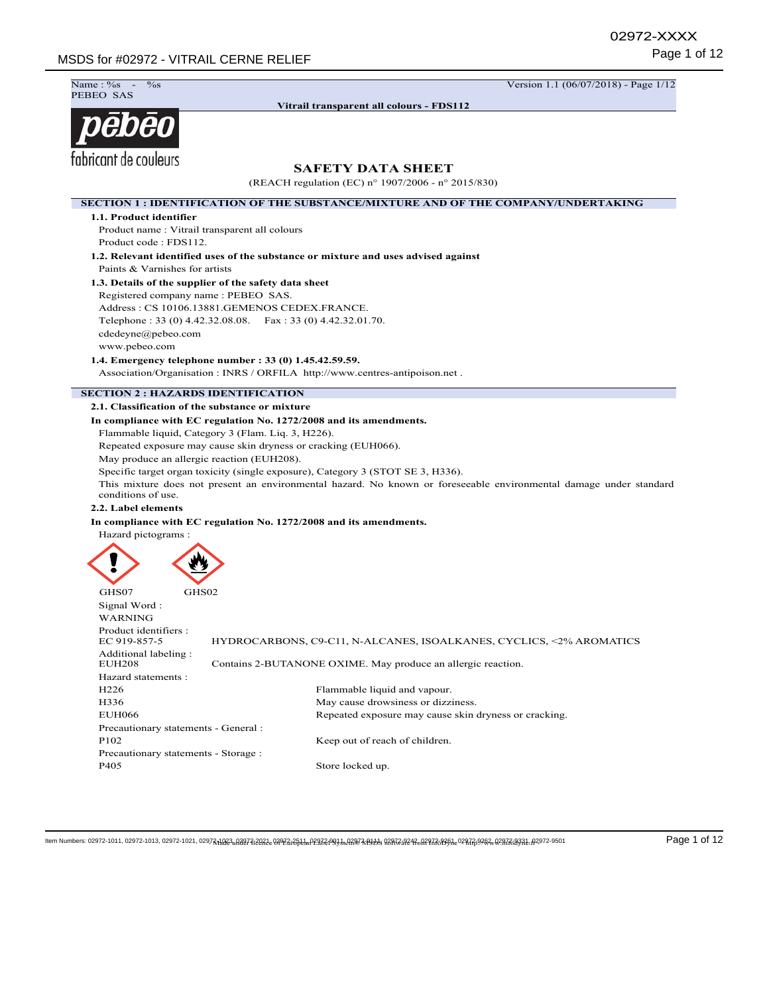Name: %<br>PEBEO SAS

**Vitrail transparent all colours - FDS112**

 $\frac{\%}{\%}$  -  $\frac{1}{12}$  Version 1.1 (06/07/2018) - Page 1/12



**SAFETY DATA SHEET** (REACH regulation (EC) n° 1907/2006 - n° 2015/830) **SECTION 1 : IDENTIFICATION OF THE SUBSTANCE/MIXTURE AND OF THE COMPANY/UNDERTAKING 1.1. Product identifier** Product name : Vitrail transparent all colours Product code : FDS112. **1.2. Relevant identified uses of the substance or mixture and uses advised against** Paints & Varnishes for artists **1.3. Details of the supplier of the safety data sheet** Registered company name : PEBEO SAS. Address : CS 10106.13881.GEMENOS CEDEX.FRANCE. Telephone : 33 (0) 4.42.32.08.08. Fax : 33 (0) 4.42.32.01.70. cdedeyne@pebeo.com www.pebeo.com **1.4. Emergency telephone number : 33 (0) 1.45.42.59.59.** Association/Organisation : INRS / ORFILA http://www.centres-antipoison.net . **SECTION 2 : HAZARDS IDENTIFICATION 2.1. Classification of the substance or mixture In compliance with EC regulation No. 1272/2008 and its amendments.** Flammable liquid, Category 3 (Flam. Liq. 3, H226). Repeated exposure may cause skin dryness or cracking (EUH066). May produce an allergic reaction (EUH208). Specific target organ toxicity (single exposure), Category 3 (STOT SE 3, H336). This mixture does not present an environmental hazard. No known or foreseeable environmental damage under standard conditions of use. **2.2. Label elements In compliance with EC regulation No. 1272/2008 and its amendments.** Hazard pictograms : GHS07 GHS02 Signal Word : WARNING Product identifiers :<br>FC 919-857-5 HYDROCARBONS, C9-C11, N-ALCANES, ISOALKANES, CYCLICS, <2% AROMATICS Additional labeling : EUH208 Contains 2-BUTANONE OXIME. May produce an allergic reaction. Hazard statements : H226 Flammable liquid and vapour. H336 May cause drowsiness or dizziness. EUH066 Repeated exposure may cause skin dryness or cracking. Precautionary statements - General : P102 Keep out of reach of children. Precautionary statements - Storage : P405 Store locked up. llem Numbers: 02972-1011, 02972-1013, 02972-1021, 0297311023, 0392712923, 0392721293, 02927210934, 028726943, 028823093, 02882306 0287203931, 02972-0501 Page 1 of 12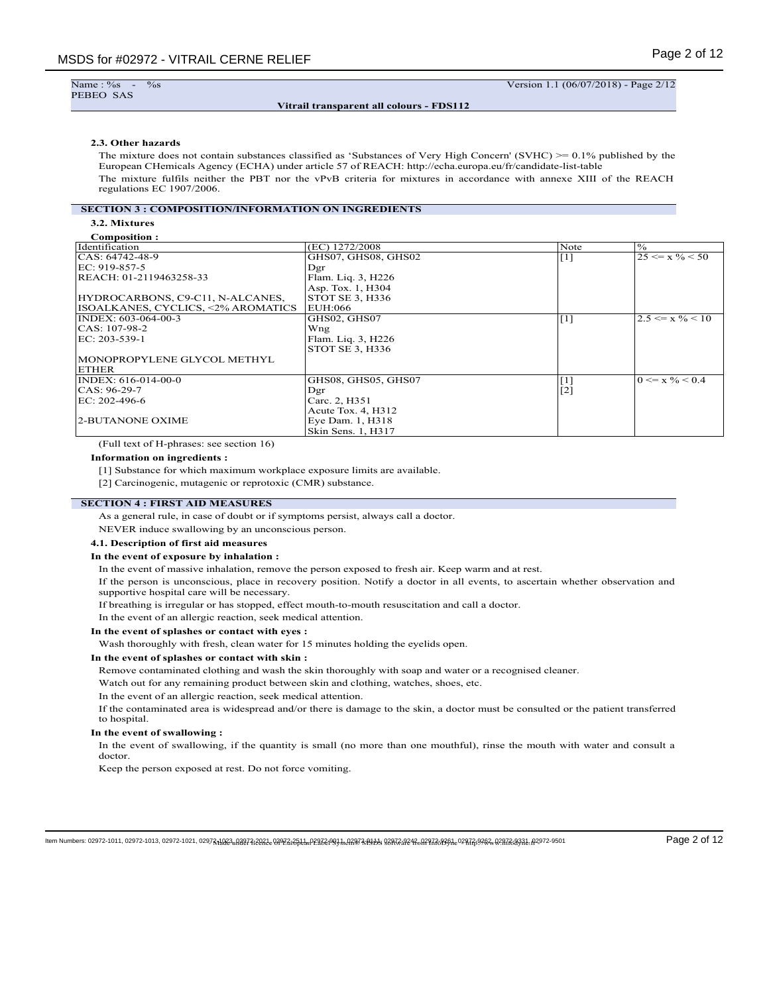Name: %<br>PEBEO SAS

### **Vitrail transparent all colours - FDS112**

 $\frac{\%}{\%}$  -  $\frac{1}{100}$  Version 1.1 (06/07/2018) - Page 2/12

### **2.3. Other hazards**

The mixture does not contain substances classified as 'Substances of Very High Concern' (SVHC) >= 0.1% published by the European CHemicals Agency (ECHA) under article 57 of REACH: http://echa.europa.eu/fr/candidate-list-table The mixture fulfils neither the PBT nor the vPvB criteria for mixtures in accordance with annexe XIII of the REACH regulations EC 1907/2006.

### **SECTION 3 : COMPOSITION/INFORMATION ON INGREDIENTS**

**3.2. Mixtures**

| Composition:                       |                     |                   |                             |
|------------------------------------|---------------------|-------------------|-----------------------------|
| <b>Identification</b>              | (EC) 1272/2008      | Note              | $\frac{10}{6}$              |
| CAS: 64742-48-9                    | GHS07, GHS08, GHS02 | $\lceil 1 \rceil$ | $25 \le x \% \le 50$        |
| EC: 919-857-5                      | Dgr                 |                   |                             |
| REACH: 01-2119463258-33            | Flam. Liq. 3, H226  |                   |                             |
|                                    | Asp. Tox. 1, H304   |                   |                             |
| HYDROCARBONS, C9-C11, N-ALCANES,   | STOT SE 3, H336     |                   |                             |
| ISOALKANES, CYCLICS, <2% AROMATICS | EUH:066             |                   |                             |
| INDEX: 603-064-00-3                | GHS02, GHS07        | $\vert$ [1]       | $2.5 \le x \% < 10$         |
| CAS: 107-98-2                      | Wng                 |                   |                             |
| EC: 203-539-1                      | Flam. Liq. 3, H226  |                   |                             |
|                                    | STOT SE 3, H336     |                   |                             |
| MONOPROPYLENE GLYCOL METHYL        |                     |                   |                             |
| <b>ETHER</b>                       |                     |                   |                             |
| INDEX: 616-014-00-0                | GHS08, GHS05, GHS07 | $[1]$             | $0 \le x \frac{9}{6} < 0.4$ |
| CAS: 96-29-7                       | Dgr                 | $[2]$             |                             |
| EC: 202-496-6                      | Carc. 2, H351       |                   |                             |
|                                    | Acute Tox. 4, H312  |                   |                             |
| 2-BUTANONE OXIME                   | Eye Dam. 1, H318    |                   |                             |
|                                    | Skin Sens. 1, H317  |                   |                             |

(Full text of H-phrases: see section 16)

#### **Information on ingredients :**

[1] Substance for which maximum workplace exposure limits are available.

[2] Carcinogenic, mutagenic or reprotoxic (CMR) substance.

# **SECTION 4 : FIRST AID MEASURES**

As a general rule, in case of doubt or if symptoms persist, always call a doctor.

NEVER induce swallowing by an unconscious person.

### **4.1. Description of first aid measures**

### **In the event of exposure by inhalation :**

In the event of massive inhalation, remove the person exposed to fresh air. Keep warm and at rest.

If the person is unconscious, place in recovery position. Notify a doctor in all events, to ascertain whether observation and supportive hospital care will be necessary.

If breathing is irregular or has stopped, effect mouth-to-mouth resuscitation and call a doctor.

In the event of an allergic reaction, seek medical attention.

#### **In the event of splashes or contact with eyes :**

Wash thoroughly with fresh, clean water for 15 minutes holding the eyelids open.

#### **In the event of splashes or contact with skin :**

Remove contaminated clothing and wash the skin thoroughly with soap and water or a recognised cleaner.

Watch out for any remaining product between skin and clothing, watches, shoes, etc.

In the event of an allergic reaction, seek medical attention.

If the contaminated area is widespread and/or there is damage to the skin, a doctor must be consulted or the patient transferred to hospital.

### **In the event of swallowing :**

In the event of swallowing, if the quantity is small (no more than one mouthful), rinse the mouth with water and consult a doctor.

Keep the person exposed at rest. Do not force vomiting.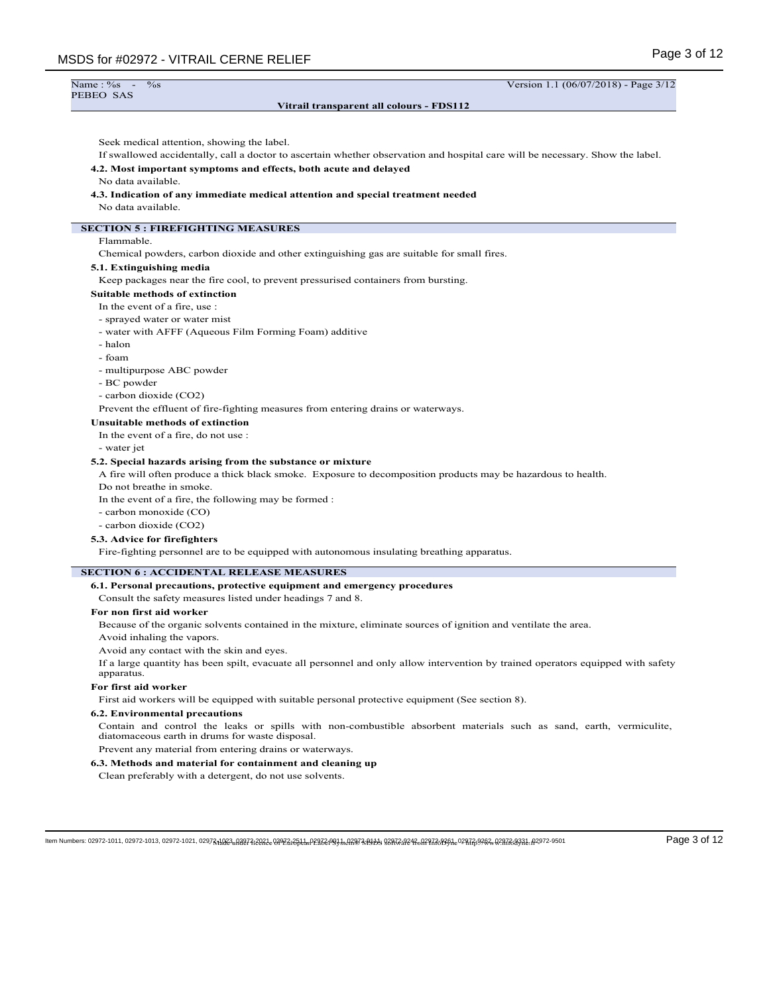| Name: $\%s$ -<br>$\overline{\frac{9}{6}}$ s                                                                                                                           | Version 1.1 (06/07/2018) - Page 3/12 |
|-----------------------------------------------------------------------------------------------------------------------------------------------------------------------|--------------------------------------|
| PEBEO SAS                                                                                                                                                             |                                      |
| Vitrail transparent all colours - FDS112                                                                                                                              |                                      |
|                                                                                                                                                                       |                                      |
| Seek medical attention, showing the label.                                                                                                                            |                                      |
| If swallowed accidentally, call a doctor to ascertain whether observation and hospital care will be necessary. Show the label.                                        |                                      |
| 4.2. Most important symptoms and effects, both acute and delayed                                                                                                      |                                      |
| No data available.                                                                                                                                                    |                                      |
| 4.3. Indication of any immediate medical attention and special treatment needed                                                                                       |                                      |
| No data available.                                                                                                                                                    |                                      |
| <b>SECTION 5: FIREFIGHTING MEASURES</b>                                                                                                                               |                                      |
| Flammable.                                                                                                                                                            |                                      |
| Chemical powders, carbon dioxide and other extinguishing gas are suitable for small fires.                                                                            |                                      |
| 5.1. Extinguishing media                                                                                                                                              |                                      |
| Keep packages near the fire cool, to prevent pressurised containers from bursting.                                                                                    |                                      |
| <b>Suitable methods of extinction</b>                                                                                                                                 |                                      |
| In the event of a fire, use :                                                                                                                                         |                                      |
| - sprayed water or water mist                                                                                                                                         |                                      |
| - water with AFFF (Aqueous Film Forming Foam) additive                                                                                                                |                                      |
| - halon                                                                                                                                                               |                                      |
| - foam                                                                                                                                                                |                                      |
| - multipurpose ABC powder                                                                                                                                             |                                      |
| - BC powder                                                                                                                                                           |                                      |
| - carbon dioxide (CO2)                                                                                                                                                |                                      |
| Prevent the effluent of fire-fighting measures from entering drains or waterways.                                                                                     |                                      |
| <b>Unsuitable methods of extinction</b>                                                                                                                               |                                      |
| In the event of a fire, do not use :                                                                                                                                  |                                      |
| - water jet                                                                                                                                                           |                                      |
| 5.2. Special hazards arising from the substance or mixture                                                                                                            |                                      |
| A fire will often produce a thick black smoke. Exposure to decomposition products may be hazardous to health.                                                         |                                      |
| Do not breathe in smoke.                                                                                                                                              |                                      |
| In the event of a fire, the following may be formed :<br>- carbon monoxide (CO)                                                                                       |                                      |
| - carbon dioxide (CO2)                                                                                                                                                |                                      |
| 5.3. Advice for firefighters                                                                                                                                          |                                      |
| Fire-fighting personnel are to be equipped with autonomous insulating breathing apparatus.                                                                            |                                      |
|                                                                                                                                                                       |                                      |
| <b>SECTION 6: ACCIDENTAL RELEASE MEASURES</b>                                                                                                                         |                                      |
| 6.1. Personal precautions, protective equipment and emergency procedures                                                                                              |                                      |
| Consult the safety measures listed under headings 7 and 8.                                                                                                            |                                      |
| For non first aid worker                                                                                                                                              |                                      |
| Because of the organic solvents contained in the mixture, eliminate sources of ignition and ventilate the area.                                                       |                                      |
| Avoid inhaling the vapors.                                                                                                                                            |                                      |
| Avoid any contact with the skin and eyes.                                                                                                                             |                                      |
| If a large quantity has been spilt, evacuate all personnel and only allow intervention by trained operators equipped with safety<br>apparatus.                        |                                      |
| For first aid worker                                                                                                                                                  |                                      |
| First aid workers will be equipped with suitable personal protective equipment (See section 8).                                                                       |                                      |
| <b>6.2. Environmental precautions</b>                                                                                                                                 |                                      |
| Contain and control the leaks or spills with non-combustible absorbent materials such as sand, earth, vermiculite,<br>diatomaceous earth in drums for waste disposal. |                                      |
| Prevent any material from entering drains or waterways.                                                                                                               |                                      |
| 6.3. Methods and material for containment and cleaning up                                                                                                             |                                      |
| Clean preferably with a detergent, do not use solvents.                                                                                                               |                                      |

- Made under licence of European Label System® MSDS software from InfoDyne - http://www.infodyne.fr - Item Numbers: 02972-1011, 02972-1013, 02972-1021, 02972-1023, 02972-2021, 02972-2511, 02972-9011, 02972-9111, 02972-9242, 02972-9261, 02972-9262, 02972-9331, 02972-9501 Page 3 of 12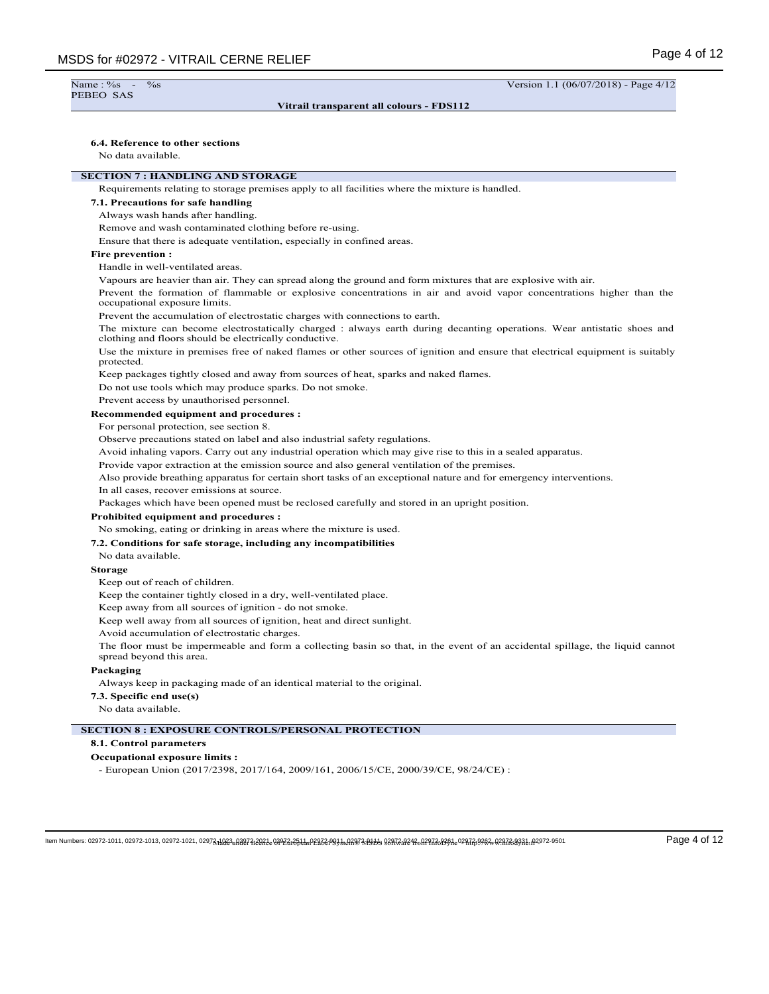# PEBEO SAS

#### **Vitrail transparent all colours - FDS112**

Name : %s - %s - %s Version 1.1 (06/07/2018) - Page 4/12

#### **6.4. Reference to other sections**

No data available.

### **SECTION 7 : HANDLING AND STORAGE**

Requirements relating to storage premises apply to all facilities where the mixture is handled.

#### **7.1. Precautions for safe handling**

Always wash hands after handling.

Remove and wash contaminated clothing before re-using.

Ensure that there is adequate ventilation, especially in confined areas.

### **Fire prevention :**

Handle in well-ventilated areas.

Vapours are heavier than air. They can spread along the ground and form mixtures that are explosive with air.

Prevent the formation of flammable or explosive concentrations in air and avoid vapor concentrations higher than the occupational exposure limits.

Prevent the accumulation of electrostatic charges with connections to earth.

The mixture can become electrostatically charged : always earth during decanting operations. Wear antistatic shoes and clothing and floors should be electrically conductive.

Use the mixture in premises free of naked flames or other sources of ignition and ensure that electrical equipment is suitably protected.

Keep packages tightly closed and away from sources of heat, sparks and naked flames.

Do not use tools which may produce sparks. Do not smoke.

Prevent access by unauthorised personnel.

#### **Recommended equipment and procedures :**

For personal protection, see section 8.

Observe precautions stated on label and also industrial safety regulations.

Avoid inhaling vapors. Carry out any industrial operation which may give rise to this in a sealed apparatus.

Provide vapor extraction at the emission source and also general ventilation of the premises.

Also provide breathing apparatus for certain short tasks of an exceptional nature and for emergency interventions.

In all cases, recover emissions at source.

Packages which have been opened must be reclosed carefully and stored in an upright position.

#### **Prohibited equipment and procedures :**

No smoking, eating or drinking in areas where the mixture is used.

### **7.2. Conditions for safe storage, including any incompatibilities**

No data available.

### **Storage**

Keep out of reach of children.

Keep the container tightly closed in a dry, well-ventilated place.

Keep away from all sources of ignition - do not smoke.

Keep well away from all sources of ignition, heat and direct sunlight.

Avoid accumulation of electrostatic charges.

The floor must be impermeable and form a collecting basin so that, in the event of an accidental spillage, the liquid cannot spread beyond this area.

#### **Packaging**

Always keep in packaging made of an identical material to the original.

#### **7.3. Specific end use(s)**

No data available.

### **SECTION 8 : EXPOSURE CONTROLS/PERSONAL PROTECTION**

## **8.1. Control parameters**

#### **Occupational exposure limits :**

- European Union (2017/2398, 2017/164, 2009/161, 2006/15/CE, 2000/39/CE, 98/24/CE) :

ltem Numbers: 02972-1011, 02972-1013, 02972-1021, 02973d10820, 08976d3e08936de9843cmP8376e9934dA8978484004848cm2978cm29786de0287639984cm2978cm2978cm2972-9501 Page 4 of 12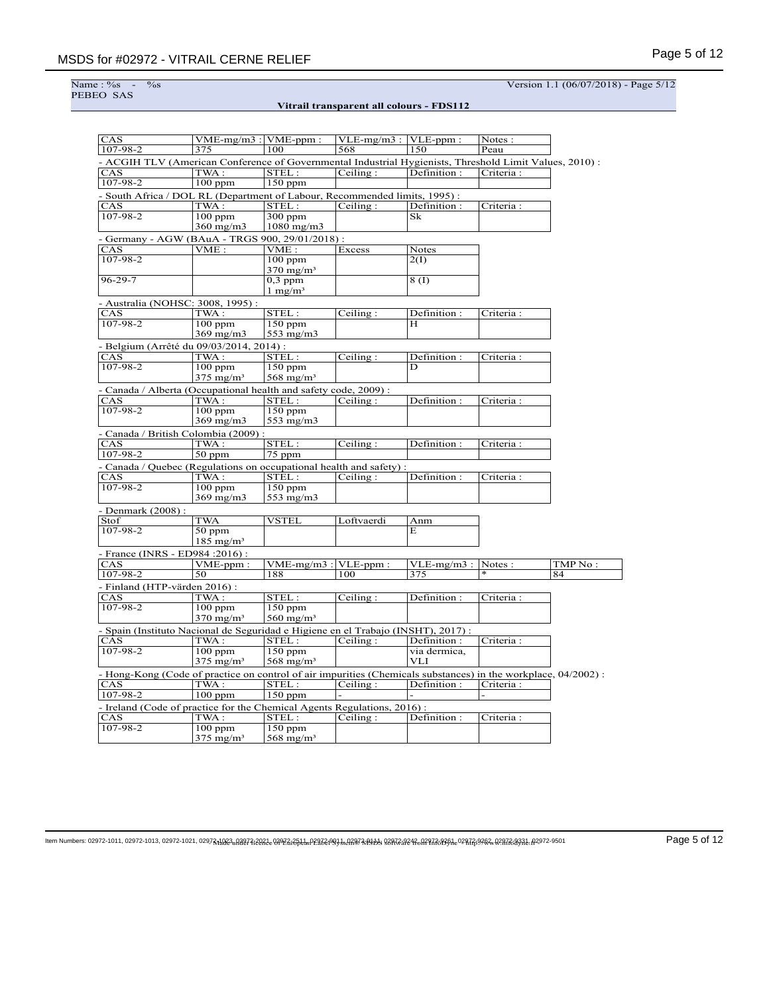Name : %<br>PEBEO SAS

Name : %s - %s Version 1.1 (06/07/2018) - Page 5/12

**Vitrail transparent all colours - FDS112**

| CAS                                                                                                            | $VME-mg/m3$ : VME-ppm:  |                         | $VLE-mg/m3$ : $VLE-ppm$ :     |                  | Notes:     |         |
|----------------------------------------------------------------------------------------------------------------|-------------------------|-------------------------|-------------------------------|------------------|------------|---------|
| 107-98-2                                                                                                       | 375                     | 100                     | 568                           | 150              | Peau       |         |
| - ACGIH TLV (American Conference of Governmental Industrial Hygienists, Threshold Limit Values, 2010) :        |                         |                         |                               |                  |            |         |
| CAS                                                                                                            | TWA :                   | STEL:                   | Ceiling:                      | Definition:      | Criteria:  |         |
| 107-98-2                                                                                                       | $100$ ppm               | $150$ ppm               |                               |                  |            |         |
| - South Africa / DOL RL (Department of Labour, Recommended limits, 1995) :                                     |                         |                         |                               |                  |            |         |
| CAS                                                                                                            | TWA :                   | STEL:                   | Ceiling:                      | Definition:      | Criteria:  |         |
| 107-98-2                                                                                                       | $100$ ppm               | $300$ ppm               |                               | Sk               |            |         |
|                                                                                                                | $360 \text{ mg/m}$      | $1080$ mg/m $3$         |                               |                  |            |         |
| - Germany - AGW (BAuA - TRGS 900, 29/01/2018) :                                                                |                         |                         |                               |                  |            |         |
| CAS                                                                                                            | VME:                    | VME:                    | Excess                        | <b>Notes</b>     |            |         |
| 107-98-2                                                                                                       |                         | $\overline{100}$ ppm    |                               | 2(I)             |            |         |
|                                                                                                                |                         | $370$ mg/m <sup>3</sup> |                               |                  |            |         |
| $96 - 29 - 7$                                                                                                  |                         | $0,3$ ppm               |                               | 8(I)             |            |         |
|                                                                                                                |                         | $1 \text{ mg/m}^3$      |                               |                  |            |         |
|                                                                                                                |                         |                         |                               |                  |            |         |
| - Australia (NOHSC: 3008, 1995) :                                                                              |                         |                         |                               |                  |            |         |
| <b>CAS</b><br>$107 - 98 - 2$                                                                                   | TWA :<br>$100$ ppm      | STEL:<br>$150$ ppm      | Ceiling:                      | Definition:<br>H | Criteria : |         |
|                                                                                                                |                         |                         |                               |                  |            |         |
|                                                                                                                | 369 mg/m3               | 553 mg/m3               |                               |                  |            |         |
| - Belgium (Arrêté du 09/03/2014, 2014) :                                                                       |                         |                         |                               |                  |            |         |
| CAS                                                                                                            | TWA:                    | STEL:                   | Ceiling:                      | Definition:      | Criteria:  |         |
| 107-98-2                                                                                                       | $100$ ppm               | $150$ ppm               |                               | D                |            |         |
|                                                                                                                | $375 \text{ mg/m}^3$    | 568 mg/m <sup>3</sup>   |                               |                  |            |         |
| - Canada / Alberta (Occupational health and safety code, 2009) :                                               |                         |                         |                               |                  |            |         |
| CAS                                                                                                            | TWA :                   | STEL:                   | Ceiling:                      | Definition:      | Criteria:  |         |
| $107 - 98 - 2$                                                                                                 | $100$ ppm               | $150$ ppm               |                               |                  |            |         |
|                                                                                                                | $369$ mg/m $3$          | 553 mg/m3               |                               |                  |            |         |
| - Canada / British Colombia (2009) :                                                                           |                         |                         |                               |                  |            |         |
| CAS                                                                                                            | TWA :                   | STEL:                   | Ceiling:                      | Definition:      | Criteria:  |         |
| 107-98-2                                                                                                       | $50$ ppm                | 75 ppm                  |                               |                  |            |         |
| Canada / Quebec (Regulations on occupational health and safety) :                                              |                         |                         |                               |                  |            |         |
| CAS                                                                                                            | TWA:                    | STEL:                   | Ceiling:                      | Definition:      | Criteria:  |         |
| $107 - 98 - 2$                                                                                                 | $100$ ppm               | $150$ ppm               |                               |                  |            |         |
|                                                                                                                | $369$ mg/m $3$          | 553 mg/m3               |                               |                  |            |         |
| - Denmark (2008) :                                                                                             |                         |                         |                               |                  |            |         |
| Stof                                                                                                           | <b>TWA</b>              | <b>VSTEL</b>            | Loftvaerdi                    | Anm              |            |         |
| $107 - 98 - 2$                                                                                                 | $50$ ppm                |                         |                               | E                |            |         |
|                                                                                                                | $185$ mg/m <sup>3</sup> |                         |                               |                  |            |         |
|                                                                                                                |                         |                         |                               |                  |            |         |
| - France (INRS - ED984 : 2016) :<br>CAS                                                                        |                         | $VME-mg/m3$ : VLE-ppm:  |                               | $VLE-mg/m3$ :    | Notes:     | TMP No: |
| $107 - 98 - 2$                                                                                                 | VME-ppm:<br>50          | 188                     | 100                           | 375              |            | 84      |
|                                                                                                                |                         |                         |                               |                  |            |         |
| - Finland (HTP-värden 2016):                                                                                   |                         |                         |                               |                  |            |         |
| <b>CAS</b>                                                                                                     | TWA:                    | STEL:                   | Ceiling:                      | Definition:      | Criteria:  |         |
| 107-98-2                                                                                                       | $100$ ppm               | $150$ ppm               |                               |                  |            |         |
|                                                                                                                | $370$ mg/m <sup>3</sup> | $560$ mg/m <sup>3</sup> |                               |                  |            |         |
| - Spain (Instituto Nacional de Seguridad e Higiene en el Trabajo (INSHT), 2017) :                              |                         |                         |                               |                  |            |         |
| <b>CAS</b>                                                                                                     | TWA :                   | STEL:                   | Ceiling:                      | Definition:      | Criteria : |         |
| $107 - 98 - 2$                                                                                                 | $100$ ppm               | $150$ ppm               |                               | via dermica,     |            |         |
|                                                                                                                | $375 \text{ mg/m}^3$    | $568$ mg/m <sup>3</sup> |                               | <b>VLI</b>       |            |         |
| - Hong-Kong (Code of practice on control of air impurities (Chemicals substances) in the workplace, 04/2002) : |                         |                         |                               |                  |            |         |
| CAS                                                                                                            | TWA :                   | STEL:                   | $\overline{\text{Ceiling}}$ : | Definition:      | Criteria:  |         |
| 107-98-2                                                                                                       | $100$ ppm               | $150$ ppm               |                               |                  |            |         |
| - Ireland (Code of practice for the Chemical Agents Regulations, 2016) :                                       |                         |                         |                               |                  |            |         |
| CAS                                                                                                            | TWA :                   | STEL:                   | Ceiling:                      | Definition:      | Criteria:  |         |
| $107 - 98 - 2$                                                                                                 | $100$ ppm               | $150$ ppm               |                               |                  |            |         |
|                                                                                                                | $375$ mg/m <sup>3</sup> | $568$ mg/m <sup>3</sup> |                               |                  |            |         |
|                                                                                                                |                         |                         |                               |                  |            |         |

ltem Numbers: 02972-1011, 02972-1013, 02972-1021, 02973,1023-0124373-2031-029723-0993-0019726-0993-0993-009873-0093-0098-00972-0093-02972-9504-02972-9501 Page 5 of 12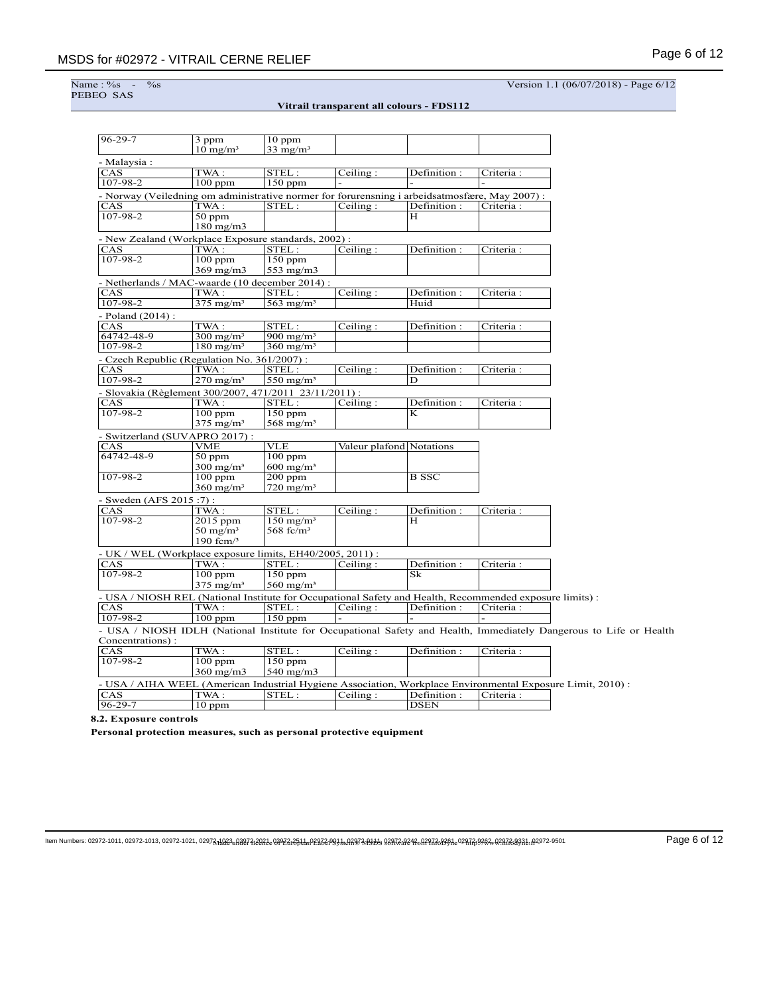Name : %<br>PEBEO SAS

Name : %s - %s Version 1.1 (06/07/2018) - Page 6/12

|--|

| $96 - 29 - 7$          | 3 ppm                                                                                                    | $10$ ppm                |                               |                            |            |                                                                                                                    |
|------------------------|----------------------------------------------------------------------------------------------------------|-------------------------|-------------------------------|----------------------------|------------|--------------------------------------------------------------------------------------------------------------------|
| - Malaysia :           | $10 \text{ mg/m}^3$                                                                                      | $33$ mg/m <sup>3</sup>  |                               |                            |            |                                                                                                                    |
| CAS                    | TWA:                                                                                                     | STEL:                   | Ceiling:                      | Definition:                | Criteria:  |                                                                                                                    |
| 107-98-2               | $100$ ppm                                                                                                | $150$ ppm               |                               |                            |            |                                                                                                                    |
|                        | - Norway (Veiledning om administrative normer for forurensning i arbeidsatmosfære, May 2007) :           |                         |                               |                            |            |                                                                                                                    |
| CAS                    | TWA:                                                                                                     | STEL:                   | Ceiling:                      | Definition:                | Criteria : |                                                                                                                    |
| $107 - 98 - 2$         | $50$ ppm                                                                                                 |                         |                               | н                          |            |                                                                                                                    |
|                        | $180$ mg/m $3$                                                                                           |                         |                               |                            |            |                                                                                                                    |
|                        |                                                                                                          |                         |                               |                            |            |                                                                                                                    |
| CAS                    | - New Zealand (Workplace Exposure standards, 2002) :<br>TWA:                                             | STEL:                   | Ceiling:                      | Definition:                | Criteria : |                                                                                                                    |
| $107 - 98 - 2$         | $100$ ppm                                                                                                | $150$ ppm               |                               |                            |            |                                                                                                                    |
|                        | $369$ mg/m $3$                                                                                           | 553 mg/m3               |                               |                            |            |                                                                                                                    |
|                        |                                                                                                          |                         |                               |                            |            |                                                                                                                    |
|                        | - Netherlands / MAC-waarde (10 december 2014) :                                                          |                         |                               |                            |            |                                                                                                                    |
| CAS                    | TWA:                                                                                                     | STEL:                   | Ceiling:                      | Definition:                | Criteria : |                                                                                                                    |
| $107 - 98 - 2$         | $375$ mg/m <sup>3</sup>                                                                                  | $563$ mg/m <sup>3</sup> |                               | Huid                       |            |                                                                                                                    |
| - Poland (2014) :      |                                                                                                          |                         |                               |                            |            |                                                                                                                    |
| CAS                    | TWA:                                                                                                     | STEL:                   | Ceiling:                      | Definition:                | Criteria:  |                                                                                                                    |
| 64742-48-9             | $300 \text{ mg/m}^3$                                                                                     | $900 \text{ mg/m}^3$    |                               |                            |            |                                                                                                                    |
| 107-98-2               | $180 \text{ mg/m}^3$                                                                                     | $360$ mg/m <sup>3</sup> |                               |                            |            |                                                                                                                    |
|                        | - Czech Republic (Regulation No. 361/2007) :                                                             |                         |                               |                            |            |                                                                                                                    |
| CAS                    | TWA:                                                                                                     | STEL:                   | $\overline{\text{Ceiling}}$ : | Definition:                | Criteria : |                                                                                                                    |
| $107 - 98 - 2$         | $270$ mg/m <sup>3</sup>                                                                                  | $550$ mg/m <sup>3</sup> |                               | D                          |            |                                                                                                                    |
|                        | - Slovakia (Règlement 300/2007, 471/2011 23/11/2011) :                                                   |                         |                               |                            |            |                                                                                                                    |
| CAS                    | TWA:                                                                                                     | STEL:                   | Ceiling:                      | Definition :               | Criteria : |                                                                                                                    |
| $107 - 98 - 2$         | $100$ ppm                                                                                                | $150$ ppm               |                               | K                          |            |                                                                                                                    |
|                        | $375$ mg/m <sup>3</sup>                                                                                  | $568$ mg/m <sup>3</sup> |                               |                            |            |                                                                                                                    |
|                        | - Switzerland (SUVAPRO 2017):                                                                            |                         |                               |                            |            |                                                                                                                    |
| CAS                    | VME                                                                                                      | VLE                     |                               | Valeur plafond Notations   |            |                                                                                                                    |
| 64742-48-9             | $50$ ppm                                                                                                 | $100$ ppm               |                               |                            |            |                                                                                                                    |
|                        | $300 \text{ mg/m}^3$                                                                                     | $600 \text{ mg/m}^3$    |                               |                            |            |                                                                                                                    |
| 107-98-2               | $100$ ppm                                                                                                | $200$ ppm               |                               | <b>B</b> SSC               |            |                                                                                                                    |
|                        | $360$ mg/m <sup>3</sup>                                                                                  | $720 \text{ mg/m}^3$    |                               |                            |            |                                                                                                                    |
| - Sweden (AFS 2015:7): |                                                                                                          |                         |                               |                            |            |                                                                                                                    |
| CAS                    | TWA:                                                                                                     | STEL:                   | Ceiling:                      | Definition :               | Criteria : |                                                                                                                    |
| $107 - 98 - 2$         | 2015 ppm                                                                                                 | $150$ mg/m <sup>3</sup> |                               | н                          |            |                                                                                                                    |
|                        | $50 \text{ mg/m}^3$                                                                                      | 568 fc/ $m3$            |                               |                            |            |                                                                                                                    |
|                        | 190 fcm $/3$                                                                                             |                         |                               |                            |            |                                                                                                                    |
|                        | - UK / WEL (Workplace exposure limits, EH40/2005, 2011) :                                                |                         |                               |                            |            |                                                                                                                    |
| <b>CAS</b>             | TWA:                                                                                                     | STEL:                   | Ceiling:                      | Definition:                | Criteria:  |                                                                                                                    |
| $107 - 98 - 2$         | $100$ ppm                                                                                                | $150$ ppm               |                               | $\overline{\rm Sk}$        |            |                                                                                                                    |
|                        | $375$ mg/m <sup>3</sup>                                                                                  | $560$ mg/m <sup>3</sup> |                               |                            |            |                                                                                                                    |
|                        | - USA / NIOSH REL (National Institute for Occupational Safety and Health, Recommended exposure limits) : |                         |                               |                            |            |                                                                                                                    |
| CAS                    | TWA:                                                                                                     | STEL:                   | Ceiling:                      | Definition:                | Criteria : |                                                                                                                    |
| 107-98-2               | $100$ ppm                                                                                                | $150$ ppm               |                               |                            |            |                                                                                                                    |
|                        |                                                                                                          |                         |                               |                            |            | - USA / NIOSH IDLH (National Institute for Occupational Safety and Health, Immediately Dangerous to Life or Health |
| Concentrations):       |                                                                                                          |                         |                               |                            |            |                                                                                                                    |
| CAS                    | TWA:                                                                                                     | STEL:                   | Ceiling:                      | Definition:                | Criteria:  |                                                                                                                    |
| $107 - 98 - 2$         | $100$ ppm                                                                                                | $150$ ppm               |                               |                            |            |                                                                                                                    |
|                        | $360 \text{ mg/m}$                                                                                       | 540 mg/m3               |                               |                            |            |                                                                                                                    |
|                        |                                                                                                          |                         |                               |                            |            |                                                                                                                    |
|                        |                                                                                                          |                         |                               |                            |            | - USA / AIHA WEEL (American Industrial Hygiene Association, Workplace Environmental Exposure Limit, 2010) :        |
| CAS<br>$96 - 29 - 7$   | TWA:                                                                                                     | STEL:                   | Ceiling:                      | Definition:<br><b>DSEN</b> | Criteria : |                                                                                                                    |
|                        | $10$ ppm                                                                                                 |                         |                               |                            |            |                                                                                                                    |

**8.2. Exposure controls**

**Personal protection measures, such as personal protective equipment**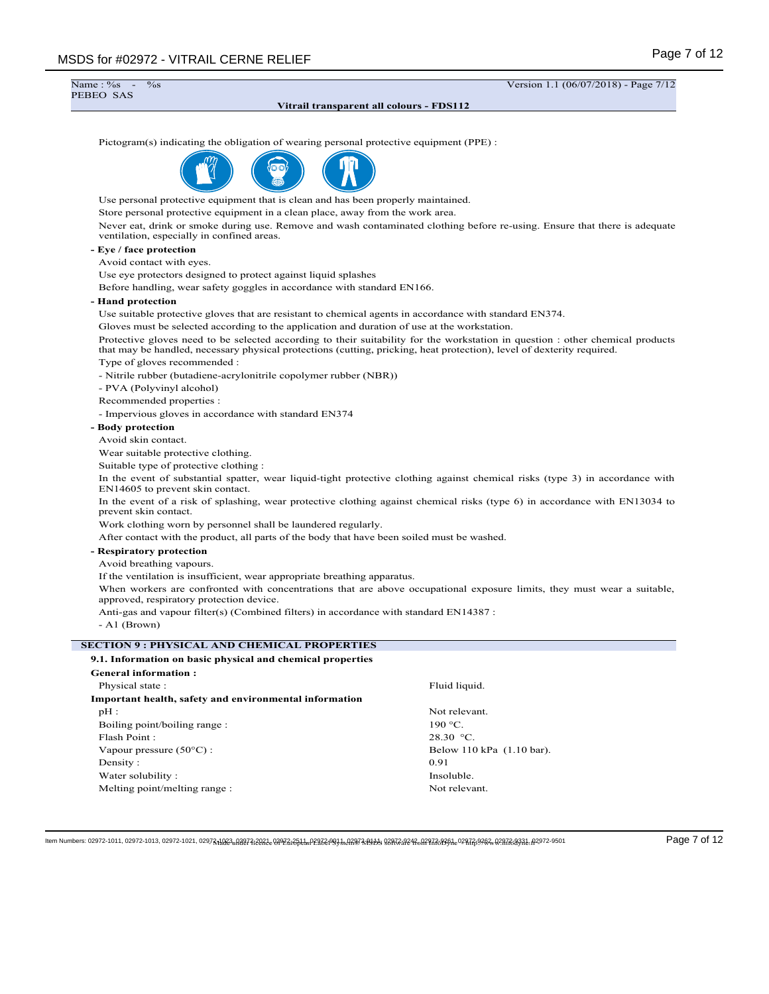$\frac{1}{10}$ %  $\frac{1}{10}$   $\frac{(06}{07}{2018})$  - Page 7/12 Name: %<br>PEBEO SAS **Vitrail transparent all colours - FDS112** Pictogram(s) indicating the obligation of wearing personal protective equipment (PPE) : Use personal protective equipment that is clean and has been properly maintained. Store personal protective equipment in a clean place, away from the work area. Never eat, drink or smoke during use. Remove and wash contaminated clothing before re-using. Ensure that there is adequate ventilation, especially in confined areas. **- Eye / face protection** Avoid contact with eyes. Use eye protectors designed to protect against liquid splashes Before handling, wear safety goggles in accordance with standard EN166. **- Hand protection** Use suitable protective gloves that are resistant to chemical agents in accordance with standard EN374. Gloves must be selected according to the application and duration of use at the workstation. Protective gloves need to be selected according to their suitability for the workstation in question : other chemical products that may be handled, necessary physical protections (cutting, pricking, heat protection), level of dexterity required. Type of gloves recommended : - Nitrile rubber (butadiene-acrylonitrile copolymer rubber (NBR)) - PVA (Polyvinyl alcohol) Recommended properties : - Impervious gloves in accordance with standard EN374 **- Body protection** Avoid skin contact. Wear suitable protective clothing. Suitable type of protective clothing : In the event of substantial spatter, wear liquid-tight protective clothing against chemical risks (type 3) in accordance with EN14605 to prevent skin contact. In the event of a risk of splashing, wear protective clothing against chemical risks (type 6) in accordance with EN13034 to prevent skin contact. Work clothing worn by personnel shall be laundered regularly. After contact with the product, all parts of the body that have been soiled must be washed. **- Respiratory protection** Avoid breathing vapours. If the ventilation is insufficient, wear appropriate breathing apparatus. When workers are confronted with concentrations that are above occupational exposure limits, they must wear a suitable, approved, respiratory protection device. Anti-gas and vapour filter(s) (Combined filters) in accordance with standard EN14387 : - A1 (Brown) **SECTION 9 : PHYSICAL AND CHEMICAL PROPERTIES 9.1. Information on basic physical and chemical properties General information :** Physical state : Fluid liquid. **Important health, safety and environmental information** pH : Not relevant. Boiling point/boiling range : 190 °C. Flash Point : 28.30 °C. Vapour pressure (50°C) : Below 110 kPa (1.10 bar). Density : 0.91 Water solubility : Insoluble. Melting point/melting range : Not relevant.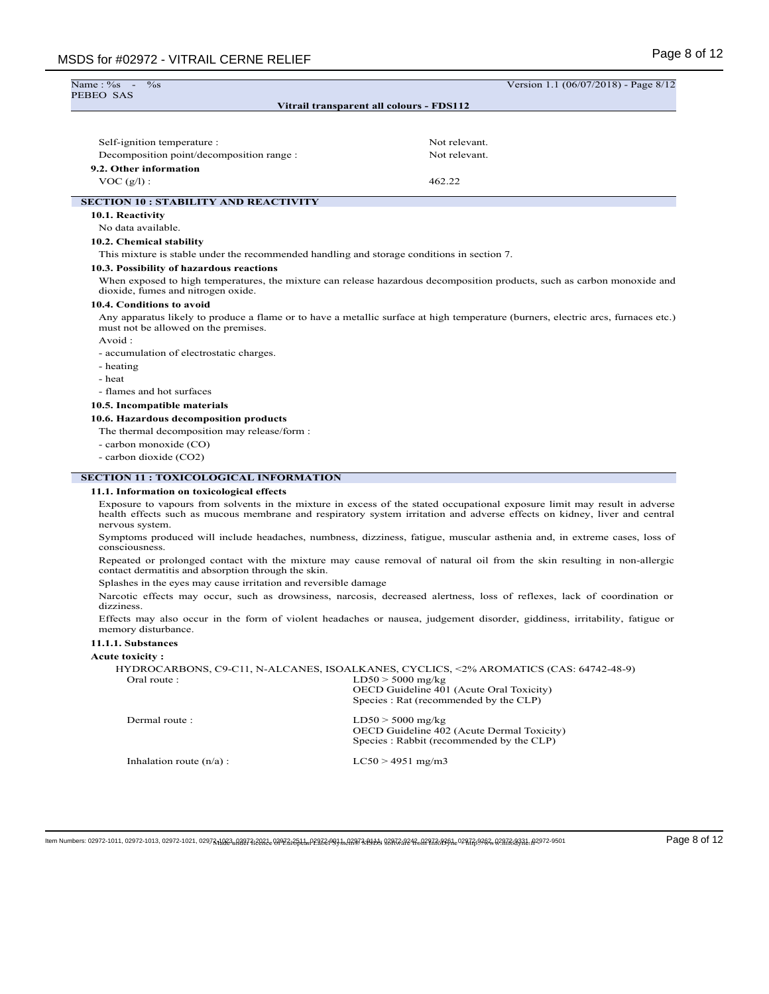| Name: %s<br>$\%$ s<br>PEBEO SAS                                                            | Version 1.1 (06/07/2018) - Page 8/12                                                                                                                                                                                                                    |  |  |  |  |  |  |
|--------------------------------------------------------------------------------------------|---------------------------------------------------------------------------------------------------------------------------------------------------------------------------------------------------------------------------------------------------------|--|--|--|--|--|--|
|                                                                                            | Vitrail transparent all colours - FDS112                                                                                                                                                                                                                |  |  |  |  |  |  |
|                                                                                            |                                                                                                                                                                                                                                                         |  |  |  |  |  |  |
|                                                                                            |                                                                                                                                                                                                                                                         |  |  |  |  |  |  |
| Self-ignition temperature :                                                                | Not relevant.                                                                                                                                                                                                                                           |  |  |  |  |  |  |
| Decomposition point/decomposition range :                                                  | Not relevant.                                                                                                                                                                                                                                           |  |  |  |  |  |  |
| 9.2. Other information                                                                     |                                                                                                                                                                                                                                                         |  |  |  |  |  |  |
| $VOC (g/l)$ :                                                                              | 462.22                                                                                                                                                                                                                                                  |  |  |  |  |  |  |
| <b>SECTION 10 : STABILITY AND REACTIVITY</b>                                               |                                                                                                                                                                                                                                                         |  |  |  |  |  |  |
| 10.1. Reactivity                                                                           |                                                                                                                                                                                                                                                         |  |  |  |  |  |  |
| No data available.                                                                         |                                                                                                                                                                                                                                                         |  |  |  |  |  |  |
| 10.2. Chemical stability                                                                   |                                                                                                                                                                                                                                                         |  |  |  |  |  |  |
| This mixture is stable under the recommended handling and storage conditions in section 7. |                                                                                                                                                                                                                                                         |  |  |  |  |  |  |
| 10.3. Possibility of hazardous reactions                                                   |                                                                                                                                                                                                                                                         |  |  |  |  |  |  |
| dioxide, fumes and nitrogen oxide.                                                         | When exposed to high temperatures, the mixture can release hazardous decomposition products, such as carbon monoxide and                                                                                                                                |  |  |  |  |  |  |
| 10.4. Conditions to avoid                                                                  |                                                                                                                                                                                                                                                         |  |  |  |  |  |  |
| must not be allowed on the premises.                                                       | Any apparatus likely to produce a flame or to have a metallic surface at high temperature (burners, electric arcs, furnaces etc.)                                                                                                                       |  |  |  |  |  |  |
| Avoid:                                                                                     |                                                                                                                                                                                                                                                         |  |  |  |  |  |  |
| - accumulation of electrostatic charges.<br>- heating                                      |                                                                                                                                                                                                                                                         |  |  |  |  |  |  |
| - heat                                                                                     |                                                                                                                                                                                                                                                         |  |  |  |  |  |  |
| - flames and hot surfaces                                                                  |                                                                                                                                                                                                                                                         |  |  |  |  |  |  |
| 10.5. Incompatible materials                                                               |                                                                                                                                                                                                                                                         |  |  |  |  |  |  |
| 10.6. Hazardous decomposition products                                                     |                                                                                                                                                                                                                                                         |  |  |  |  |  |  |
| The thermal decomposition may release/form :                                               |                                                                                                                                                                                                                                                         |  |  |  |  |  |  |
| - carbon monoxide (CO)                                                                     |                                                                                                                                                                                                                                                         |  |  |  |  |  |  |
| - carbon dioxide (CO2)                                                                     |                                                                                                                                                                                                                                                         |  |  |  |  |  |  |
| <b>SECTION 11 : TOXICOLOGICAL INFORMATION</b>                                              |                                                                                                                                                                                                                                                         |  |  |  |  |  |  |
| 11.1. Information on toxicological effects                                                 |                                                                                                                                                                                                                                                         |  |  |  |  |  |  |
|                                                                                            | Exposure to vapours from solvents in the mixture in excess of the stated occupational exposure limit may result in adverse<br>health effects such as mucous membrane and respiratory system irritation and adverse effects on kidney, liver and central |  |  |  |  |  |  |
| nervous system.                                                                            | Symptoms produced will include headaches, numbness, dizziness, fatigue, muscular asthenia and, in extreme cases, loss of                                                                                                                                |  |  |  |  |  |  |
| consciousness.                                                                             | Repeated or prolonged contact with the mixture may cause removal of natural oil from the skin resulting in non-allergic                                                                                                                                 |  |  |  |  |  |  |
| contact dermatitis and absorption through the skin.                                        |                                                                                                                                                                                                                                                         |  |  |  |  |  |  |
| Splashes in the eyes may cause irritation and reversible damage<br>dizziness.              | Narcotic effects may occur, such as drowsiness, narcosis, decreased alertness, loss of reflexes, lack of coordination or                                                                                                                                |  |  |  |  |  |  |
| memory disturbance.                                                                        | Effects may also occur in the form of violent headaches or nausea, judgement disorder, giddiness, irritability, fatigue or                                                                                                                              |  |  |  |  |  |  |
| 11.1.1. Substances                                                                         |                                                                                                                                                                                                                                                         |  |  |  |  |  |  |
| <b>Acute toxicity:</b>                                                                     |                                                                                                                                                                                                                                                         |  |  |  |  |  |  |
| Oral route:                                                                                | HYDROCARBONS, C9-C11, N-ALCANES, ISOALKANES, CYCLICS, <2% AROMATICS (CAS: 64742-48-9)<br>$LD50 > 5000$ mg/kg<br>OECD Guideline 401 (Acute Oral Toxicity)<br>Species : Rat (recommended by the CLP)                                                      |  |  |  |  |  |  |
| Dermal route :                                                                             | $LD50 > 5000$ mg/kg<br>OECD Guideline 402 (Acute Dermal Toxicity)<br>Species: Rabbit (recommended by the CLP)                                                                                                                                           |  |  |  |  |  |  |
| Inhalation route $(n/a)$ :                                                                 | $LC50 > 4951$ mg/m3                                                                                                                                                                                                                                     |  |  |  |  |  |  |
|                                                                                            |                                                                                                                                                                                                                                                         |  |  |  |  |  |  |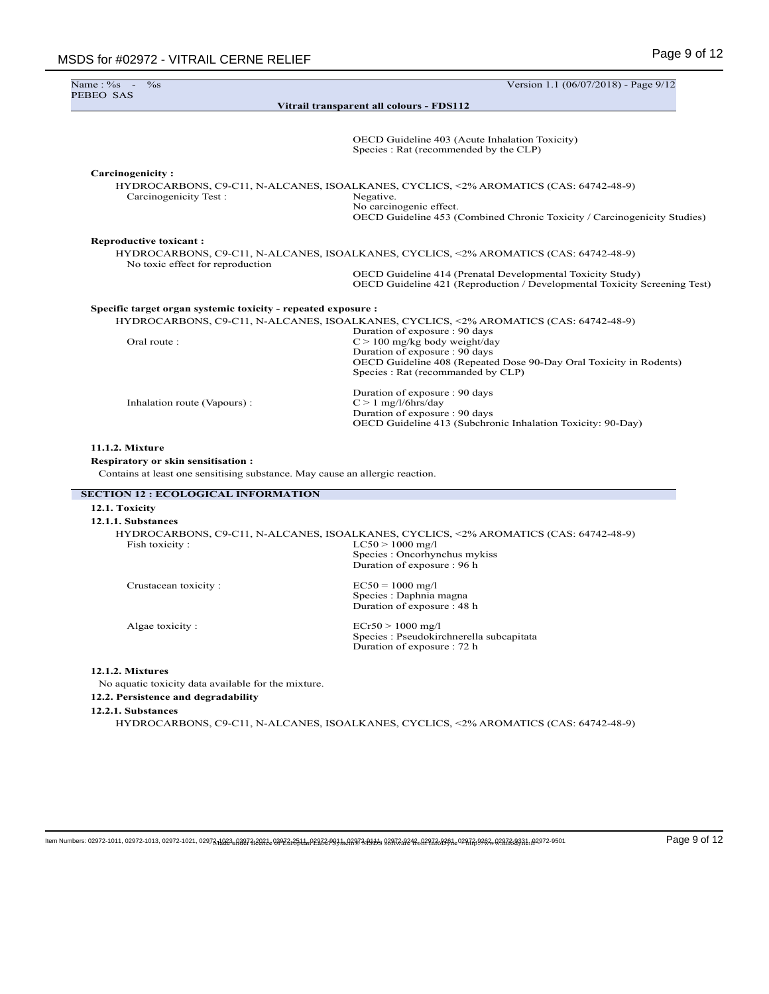| Name: %s<br>$\%$ s                                                                                                        | Version 1.1 (06/07/2018) - Page 9/12                                                                                                                                                                           |
|---------------------------------------------------------------------------------------------------------------------------|----------------------------------------------------------------------------------------------------------------------------------------------------------------------------------------------------------------|
| PEBEO SAS                                                                                                                 | Vitrail transparent all colours - FDS112                                                                                                                                                                       |
|                                                                                                                           |                                                                                                                                                                                                                |
|                                                                                                                           | OECD Guideline 403 (Acute Inhalation Toxicity)<br>Species : Rat (recommended by the CLP)                                                                                                                       |
| Carcinogenicity:                                                                                                          |                                                                                                                                                                                                                |
| Carcinogenicity Test:                                                                                                     | HYDROCARBONS, C9-C11, N-ALCANES, ISOALKANES, CYCLICS, <2% AROMATICS (CAS: 64742-48-9)<br>Negative.<br>No carcinogenic effect.<br>OECD Guideline 453 (Combined Chronic Toxicity / Carcinogenicity Studies)      |
| <b>Reproductive toxicant:</b>                                                                                             |                                                                                                                                                                                                                |
|                                                                                                                           | HYDROCARBONS, C9-C11, N-ALCANES, ISOALKANES, CYCLICS, <2% AROMATICS (CAS: 64742-48-9)                                                                                                                          |
| No toxic effect for reproduction                                                                                          | OECD Guideline 414 (Prenatal Developmental Toxicity Study)<br>OECD Guideline 421 (Reproduction / Developmental Toxicity Screening Test)                                                                        |
| Specific target organ systemic toxicity - repeated exposure :                                                             |                                                                                                                                                                                                                |
|                                                                                                                           | HYDROCARBONS, C9-C11, N-ALCANES, ISOALKANES, CYCLICS, <2% AROMATICS (CAS: 64742-48-9)                                                                                                                          |
| Oral route:                                                                                                               | Duration of exposure: 90 days<br>$C > 100$ mg/kg body weight/day<br>Duration of exposure : 90 days<br>OECD Guideline 408 (Repeated Dose 90-Day Oral Toxicity in Rodents)<br>Species : Rat (recommanded by CLP) |
| Inhalation route (Vapours):                                                                                               | Duration of exposure : 90 days<br>$C > 1$ mg/l/6hrs/day<br>Duration of exposure : 90 days<br>OECD Guideline 413 (Subchronic Inhalation Toxicity: 90-Day)                                                       |
| 11.1.2. Mixture                                                                                                           |                                                                                                                                                                                                                |
| <b>Respiratory or skin sensitisation:</b><br>Contains at least one sensitising substance. May cause an allergic reaction. |                                                                                                                                                                                                                |
| <b>SECTION 12 : ECOLOGICAL INFORMATION</b>                                                                                |                                                                                                                                                                                                                |
| 12.1. Toxicity<br>12.1.1. Substances                                                                                      |                                                                                                                                                                                                                |
|                                                                                                                           | HYDROCARBONS, C9-C11, N-ALCANES, ISOALKANES, CYCLICS, <2% AROMATICS (CAS: 64742-48-9)                                                                                                                          |
| Fish toxicity:                                                                                                            | $LC50 > 1000$ mg/l<br>Species : Oncorhynchus mykiss<br>Duration of exposure: 96 h                                                                                                                              |
| Crustacean toxicity:                                                                                                      | $EC50 = 1000$ mg/l<br>Species : Daphnia magna<br>Duration of exposure: 48 h                                                                                                                                    |
| Algae toxicity:                                                                                                           | $ECr50 > 1000$ mg/l<br>Species : Pseudokirchnerella subcapitata                                                                                                                                                |

### **12.1.2. Mixtures**

No aquatic toxicity data available for the mixture.

# **12.2. Persistence and degradability**

# **12.2.1. Substances**

HYDROCARBONS, C9-C11, N-ALCANES, ISOALKANES, CYCLICS, <2% AROMATICS (CAS: 64742-48-9)

Duration of exposure : 72 h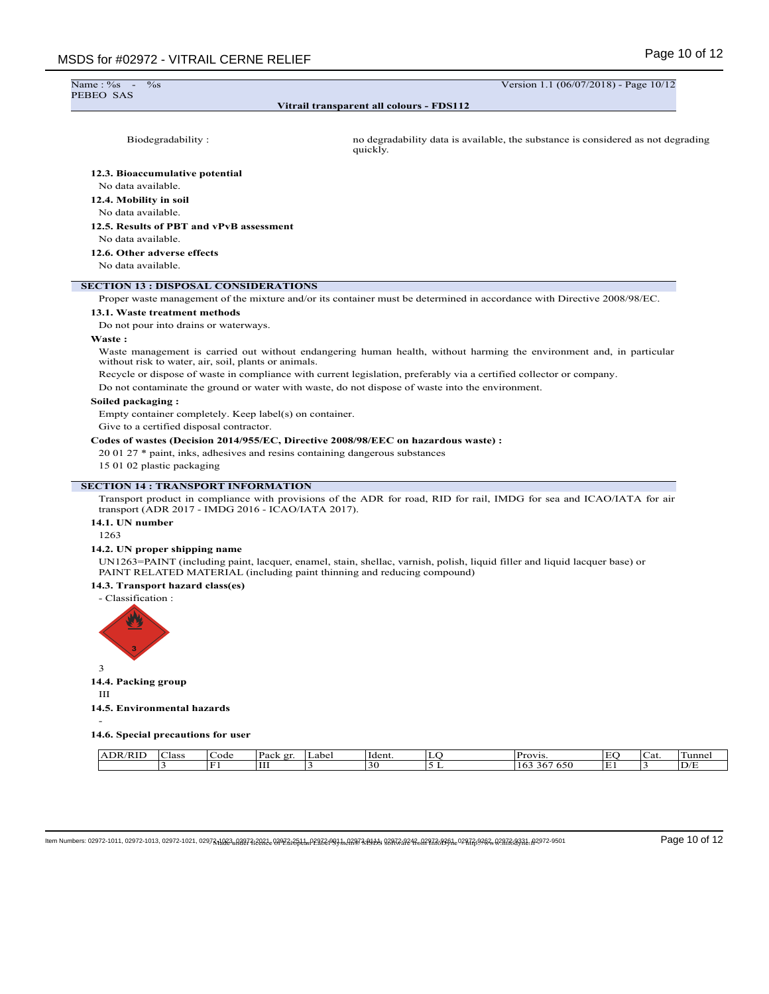Name: %<br>PEBEO SAS

 $\%$ s -  $\frac{1}{100}$  Version 1.1 (06/07/2018) - Page 10/12

### **Vitrail transparent all colours - FDS112**

Biodegradability : no degradability data is available, the substance is considered as not degrading quickly.

#### **12.3. Bioaccumulative potential**

No data available.

**12.4. Mobility in soil**

No data available.

# **12.5. Results of PBT and vPvB assessment**

No data available.

**12.6. Other adverse effects**

No data available.

### **SECTION 13 : DISPOSAL CONSIDERATIONS**

Proper waste management of the mixture and/or its container must be determined in accordance with Directive 2008/98/EC.

### **13.1. Waste treatment methods**

Do not pour into drains or waterways.

### **Waste :**

Waste management is carried out without endangering human health, without harming the environment and, in particular without risk to water, air, soil, plants or animals.

Recycle or dispose of waste in compliance with current legislation, preferably via a certified collector or company.

Do not contaminate the ground or water with waste, do not dispose of waste into the environment.

### **Soiled packaging :**

Empty container completely. Keep label(s) on container.

Give to a certified disposal contractor.

### **Codes of wastes (Decision 2014/955/EC, Directive 2008/98/EEC on hazardous waste) :**

20 01 27 \* paint, inks, adhesives and resins containing dangerous substances

15 01 02 plastic packaging

#### **SECTION 14 : TRANSPORT INFORMATION**

Transport product in compliance with provisions of the ADR for road, RID for rail, IMDG for sea and ICAO/IATA for air transport (ADR 2017 - IMDG 2016 - ICAO/IATA 2017).

# **14.1. UN number**

1263

## **14.2. UN proper shipping name**

UN1263=PAINT (including paint, lacquer, enamel, stain, shellac, varnish, polish, liquid filler and liquid lacquer base) or PAINT RELATED MATERIAL (including paint thinning and reducing compound)

### **14.3. Transport hazard class(es)**

- Classification :



## **14.4. Packing group**

III

#### **14.5. Environmental hazards**

-

# **14.6. Special precautions for user**

| T<br>DR<br>K. | -<br>lass | _ode | $\mathbf{D}$ oolz<br>$\alpha r$<br>acr<br>. | abel | Ident.         | Provis                                               | $\blacksquare$<br>ட | ∽<br>Cat | $\overline{\phantom{0}}$<br>un |
|---------------|-----------|------|---------------------------------------------|------|----------------|------------------------------------------------------|---------------------|----------|--------------------------------|
|               |           |      | <b>TTT</b><br>--                            |      | $\gamma$<br>รเ | $\sim$ $\sim$ $\sim$<br>. .<br>∣ O.3<br>0.30<br>- 20 | Е                   |          | D/E                            |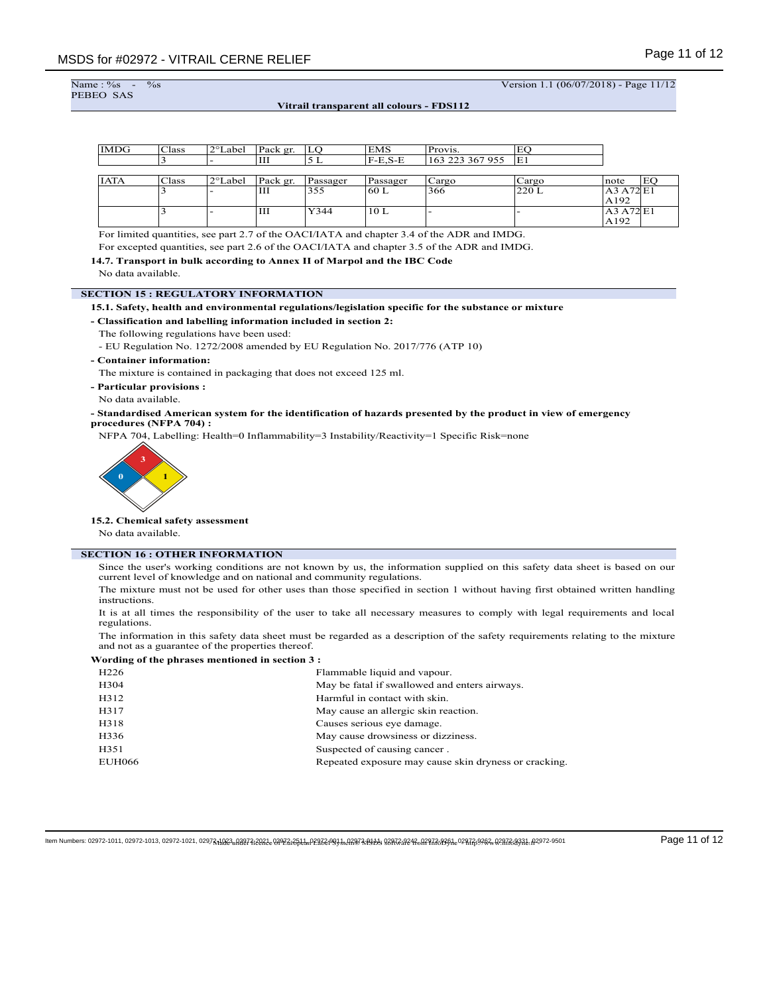```
Name: %<br>PEBEO SAS
```
 $\%$ s -  $\frac{1}{100}$  Version 1.1 (06/07/2018) - Page 11/12

**Vitrail transparent all colours - FDS112**

| <b>IMDG</b> | Class  | 2°Label | Pack gr. | LO       | EMS       | Provis.         | EO    |           |    |
|-------------|--------|---------|----------|----------|-----------|-----------------|-------|-----------|----|
|             | د      |         | Ш        | 5 L      | $F-E.S-E$ | 163 223 367 955 | IE1   |           |    |
|             |        |         |          |          |           |                 |       |           |    |
| <b>IATA</b> | Class  | 2°Label | Pack gr. | Passager | Passager  | Cargo           | Cargo | note      | EO |
|             | د      |         | Ш        | 355      | 60 L      | 366             | 220 L | A3 A72 E1 |    |
|             |        |         |          |          |           |                 |       | A192      |    |
|             | r<br>3 |         | Ш        | Y344     | 10L       |                 |       | A3 A72 E1 |    |
|             |        |         |          |          |           |                 |       | A192      |    |

For limited quantities, see part 2.7 of the OACI/IATA and chapter 3.4 of the ADR and IMDG.

For excepted quantities, see part 2.6 of the OACI/IATA and chapter 3.5 of the ADR and IMDG.

### **14.7. Transport in bulk according to Annex II of Marpol and the IBC Code**

No data available.

#### **SECTION 15 : REGULATORY INFORMATION**

#### **15.1. Safety, health and environmental regulations/legislation specific for the substance or mixture**

### **- Classification and labelling information included in section 2:**

The following regulations have been used:

- EU Regulation No. 1272/2008 amended by EU Regulation No. 2017/776 (ATP 10)

#### **- Container information:**

The mixture is contained in packaging that does not exceed 125 ml.

**- Particular provisions :**

No data available.

### **- Standardised American system for the identification of hazards presented by the product in view of emergency procedures (NFPA 704) :**

NFPA 704, Labelling: Health=0 Inflammability=3 Instability/Reactivity=1 Specific Risk=none



## **15.2. Chemical safety assessment**

No data available.

# **SECTION 16 : OTHER INFORMATION**

Since the user's working conditions are not known by us, the information supplied on this safety data sheet is based on our current level of knowledge and on national and community regulations.

The mixture must not be used for other uses than those specified in section 1 without having first obtained written handling instructions.

It is at all times the responsibility of the user to take all necessary measures to comply with legal requirements and local regulations.

The information in this safety data sheet must be regarded as a description of the safety requirements relating to the mixture and not as a guarantee of the properties thereof.

#### **Wording of the phrases mentioned in section 3 :**

| H <sub>226</sub> | Flammable liquid and vapour.                          |
|------------------|-------------------------------------------------------|
| H304             | May be fatal if swallowed and enters airways.         |
| H312             | Harmful in contact with skin.                         |
| H317             | May cause an allergic skin reaction.                  |
| H318             | Causes serious eye damage.                            |
| H336             | May cause drowsiness or dizziness.                    |
| H351             | Suspected of causing cancer.                          |
| <b>EUH066</b>    | Repeated exposure may cause skin dryness or cracking. |